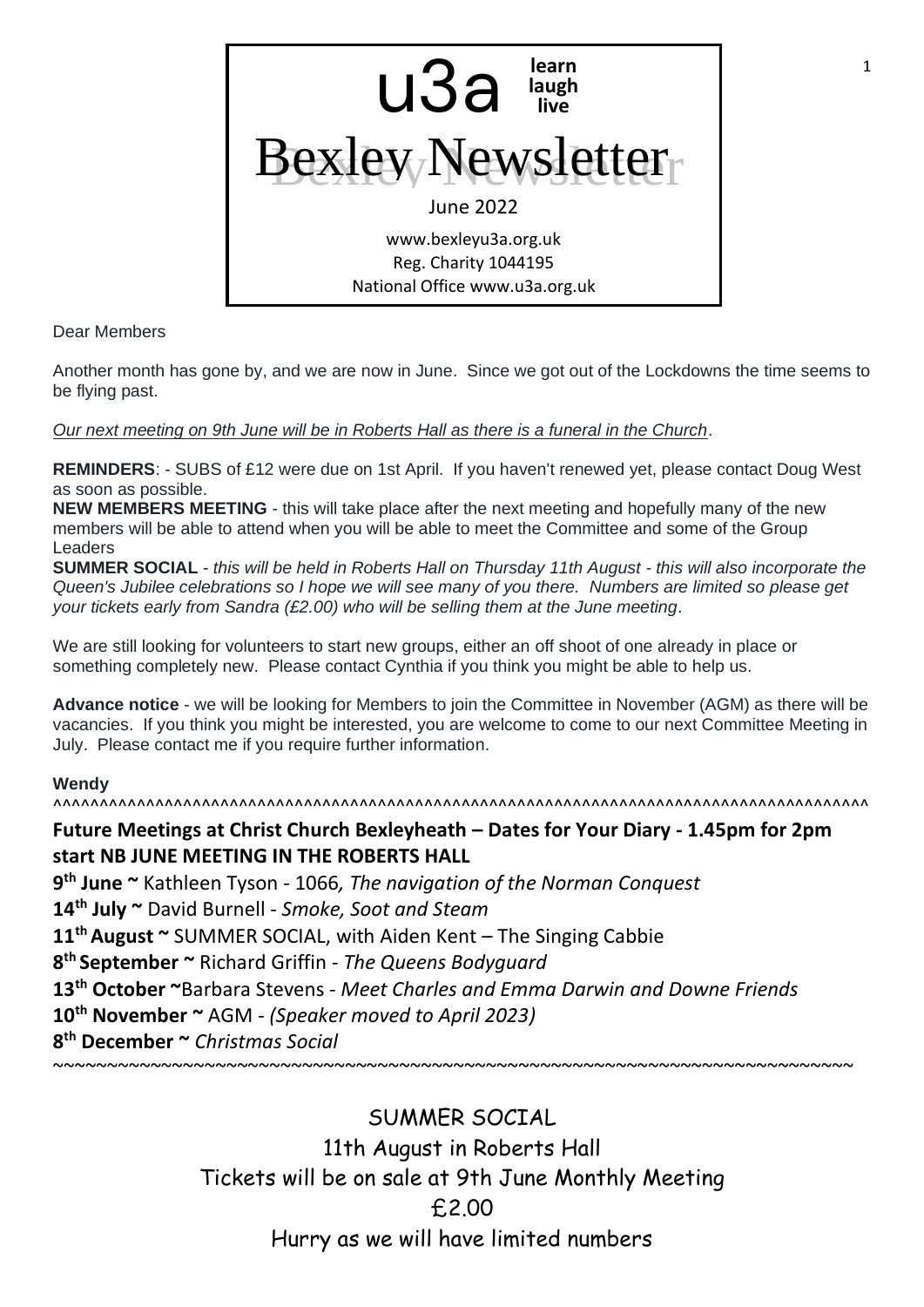

Dear Members

Another month has gone by, and we are now in June. Since we got out of the Lockdowns the time seems to be flying past.

*Our next meeting on 9th June will be in Roberts Hall as there is a funeral in the Church*.

**REMINDERS**: - SUBS of £12 were due on 1st April. If you haven't renewed yet, please contact Doug West as soon as possible.

**NEW MEMBERS MEETING** - this will take place after the next meeting and hopefully many of the new members will be able to attend when you will be able to meet the Committee and some of the Group Leaders

**SUMMER SOCIAL** - *this will be held in Roberts Hall on Thursday 11th August - this will also incorporate the Queen's Jubilee celebrations so I hope we will see many of you there. Numbers are limited so please get your tickets early from Sandra (£2.00) who will be selling them at the June meeting*.

We are still looking for volunteers to start new groups, either an off shoot of one already in place or something completely new. Please contact Cynthia if you think you might be able to help us.

**Advance notice** - we will be looking for Members to join the Committee in November (AGM) as there will be vacancies. If you think you might be interested, you are welcome to come to our next Committee Meeting in July. Please contact me if you require further information.

### **Wendy**

^^^^^^^^^^^^^^^^^^^^^^^^^^^^^^^^^^^^^^^^^^^^^^^^^^^^^^^^^^^^^^^^^^^^^^^^^^^^^^^^^^^^^^^^

# **Future Meetings at Christ Church Bexleyheath – Dates for Your Diary - 1.45pm for 2pm start NB JUNE MEETING IN THE ROBERTS HALL**

 **th June ~** Kathleen Tyson - 1066*, The navigation of the Norman Conquest* **th July ~** David Burnell - *Smoke, Soot and Steam* **th August ~** SUMMER SOCIAL, with Aiden Kent – The Singing Cabbie **th September ~** Richard Griffin - *The Queens Bodyguard* **th October ~**Barbara Stevens - *Meet Charles and Emma Darwin and Downe Friends* **th November ~** AGM *- (Speaker moved to April 2023)* **th December ~** *Christmas Social*

~~~~~~~~~~~~~~~~~~~~~~~~~~~~~~~~~~~~~~~~~~~~~~~~~~~~~~~~~~~~~~~~~~~~~~~~~~

SUMMER SOCIAL 11th August in Roberts Hall Tickets will be on sale at 9th June Monthly Meeting £2.00 Hurry as we will have limited numbers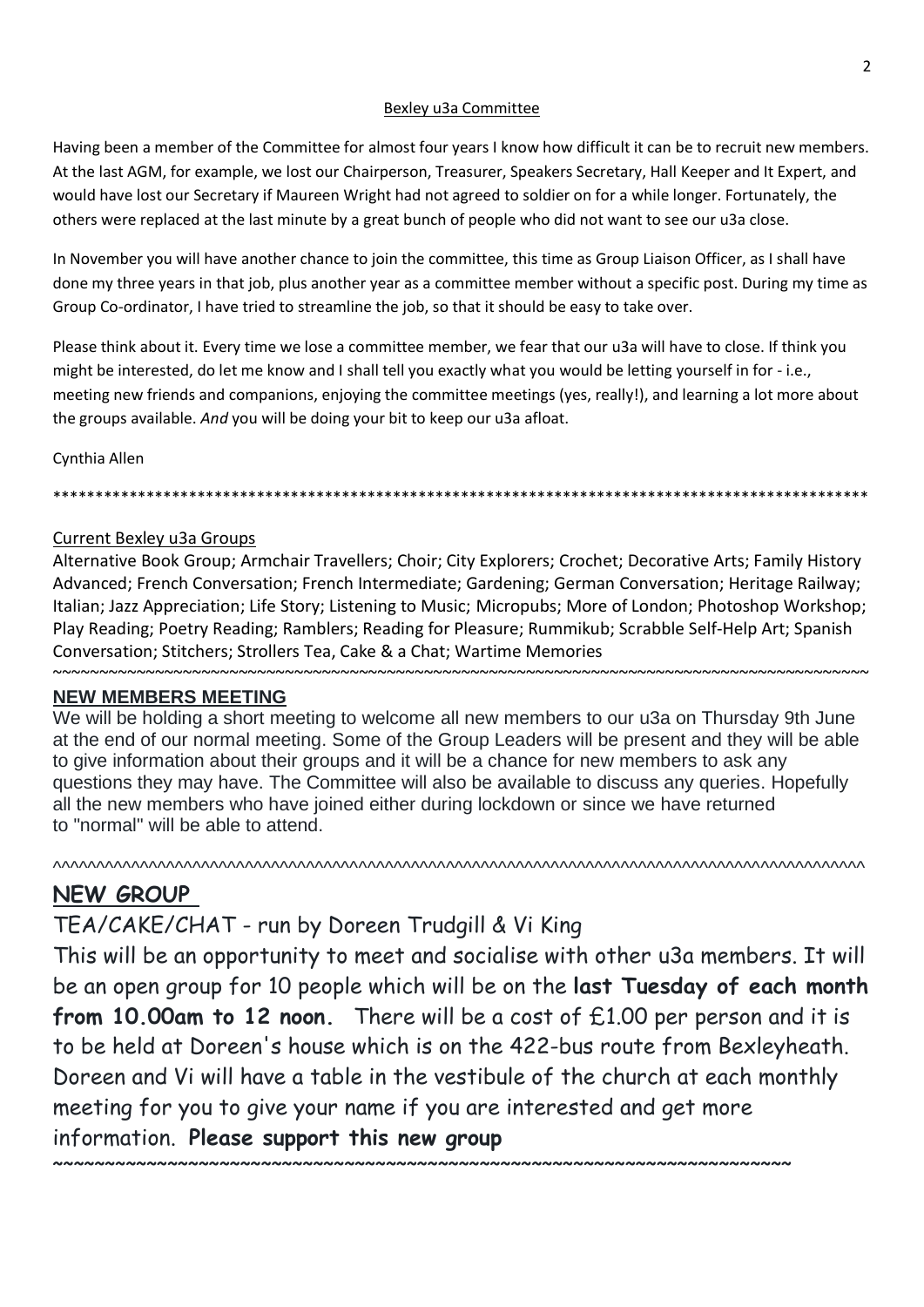#### Bexley u3a Committee

Having been a member of the Committee for almost four years I know how difficult it can be to recruit new members. At the last AGM, for example, we lost our Chairperson, Treasurer, Speakers Secretary, Hall Keeper and It Expert, and would have lost our Secretary if Maureen Wright had not agreed to soldier on for a while longer. Fortunately, the others were replaced at the last minute by a great bunch of people who did not want to see our u3a close.

In November you will have another chance to join the committee, this time as Group Liaison Officer, as I shall have done my three years in that job, plus another year as a committee member without a specific post. During my time as Group Co-ordinator, I have tried to streamline the job, so that it should be easy to take over.

Please think about it. Every time we lose a committee member, we fear that our u3a will have to close. If think you might be interested, do let me know and I shall tell you exactly what you would be letting yourself in for - i.e., meeting new friends and companions, enjoying the committee meetings (yes, really!), and learning a lot more about the groups available. *And* you will be doing your bit to keep our u3a afloat.

Cynthia Allen

# Current Bexley u3a Groups

Alternative Book Group; Armchair Travellers; Choir; City Explorers; Crochet; Decorative Arts; Family History Advanced; French Conversation; French Intermediate; Gardening; German Conversation; Heritage Railway; Italian; Jazz Appreciation; Life Story; Listening to Music; Micropubs; More of London; Photoshop Workshop; Play Reading; Poetry Reading; Ramblers; Reading for Pleasure; Rummikub; Scrabble Self-Help Art; Spanish Conversation; Stitchers; Strollers Tea, Cake & a Chat; Wartime Memories

\*\*\*\*\*\*\*\*\*\*\*\*\*\*\*\*\*\*\*\*\*\*\*\*\*\*\*\*\*\*\*\*\*\*\*\*\*\*\*\*\*\*\*\*\*\*\*\*\*\*\*\*\*\*\*\*\*\*\*\*\*\*\*\*\*\*\*\*\*\*\*\*\*\*\*\*\*\*\*\*\*\*\*\*\*\*\*\*\*\*\*\*\*\*\*\*

### **NEW MEMBERS MEETING**

We will be holding a short meeting to welcome all new members to our u3a on Thursday 9th June at the end of our normal meeting. Some of the Group Leaders will be present and they will be able to give information about their groups and it will be a chance for new members to ask any questions they may have. The Committee will also be available to discuss any queries. Hopefully all the new members who have joined either during lockdown or since we have returned to "normal" will be able to attend.

^^^^^^^^^^^^^^^^^^^^^^^^^^^^^^^^^^^^^^^^^^^^^^^^^^^^^^^^^^^^^^^^^^^^^^^^^^^^^^^^^^^^^^^^^^^^^

# **NEW GROUP**

# TEA/CAKE/CHAT - run by Doreen Trudgill & Vi King

This will be an opportunity to meet and socialise with other u3a members. It will be an open group for 10 people which will be on the **last Tuesday of each month from 10.00am to 12 noon.** There will be a cost of £1.00 per person and it is to be held at Doreen's house which is on the 422-bus route from Bexleyheath. Doreen and Vi will have a table in the vestibule of the church at each monthly meeting for you to give your name if you are interested and get more information. **Please support this new group**

~~~~~~~~~~~~~~~~~~~~~~~~~~~~~~~~~~~~~~~~~~~~~~~~~~~~~~~~~~~~~~~~~~~~~~~~~~~~~~~~~~~~~~~~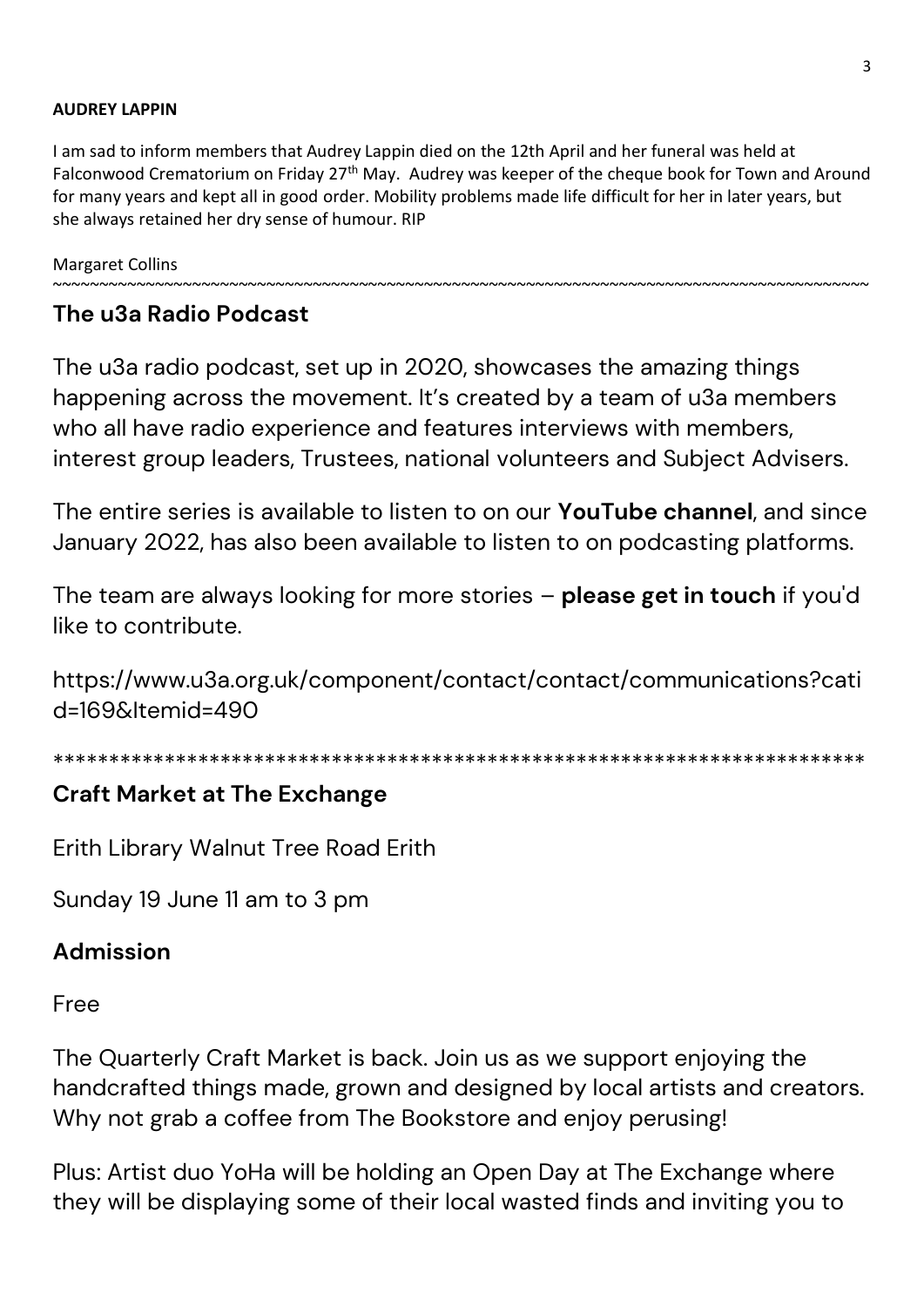# **AUDREY LAPPIN**

I am sad to inform members that Audrey Lappin died on the 12th April and her funeral was held at Falconwood Crematorium on Friday 27<sup>th</sup> May. Audrey was keeper of the cheque book for Town and Around for many years and kept all in good order. Mobility problems made life difficult for her in later years, but she always retained her dry sense of humour. RIP

~~~~~~~~~~~~~~~~~~~~~~~~~~~~~~~~~~~~~~~~~~~~~~~~~~~~~~~~~~~~~~~~~~~~~~~~~~~~~~~~~~~~~~~~

Margaret Collins

# **The u3a Radio Podcast**

The u3a radio podcast, set up in 2020, showcases the amazing things happening across the movement. It's created by a team of u3a members who all have radio experience and features interviews with members, interest group leaders, Trustees, national volunteers and Subject Advisers.

The entire series is available to listen to on our **YouTube channel**, and since January 2022, has also been available to listen to on podcasting platforms.

The team are always looking for more stories – **please get in touch** if you'd like to contribute.

https://www.u3a.org.uk/component/contact/contact/communications?cati d=169&Itemid=490

\*\*\*\*\*\*\*\*\*\*\*\*\*\*\*\*\*\*\*\*\*\*\*\*\*\*\*\*\*\*\*\*\*\*\*\*\*\*\*\*\*\*\*\*\*\*\*\*\*\*\*\*\*\*\*\*\*\*\*\*\*\*\*\*\*\*\*\*\*\*\*\*\*

# **Craft Market at The Exchange**

Erith Library Walnut Tree Road Erith

Sunday 19 June 11 am to 3 pm

# **Admission**

Free

The Quarterly Craft Market is back. Join us as we support enjoying the handcrafted things made, grown and designed by local artists and creators. Why not grab a coffee from The Bookstore and enjoy perusing!

Plus: Artist duo YoHa will be holding an Open Day at The Exchange where they will be displaying some of their local wasted finds and inviting you to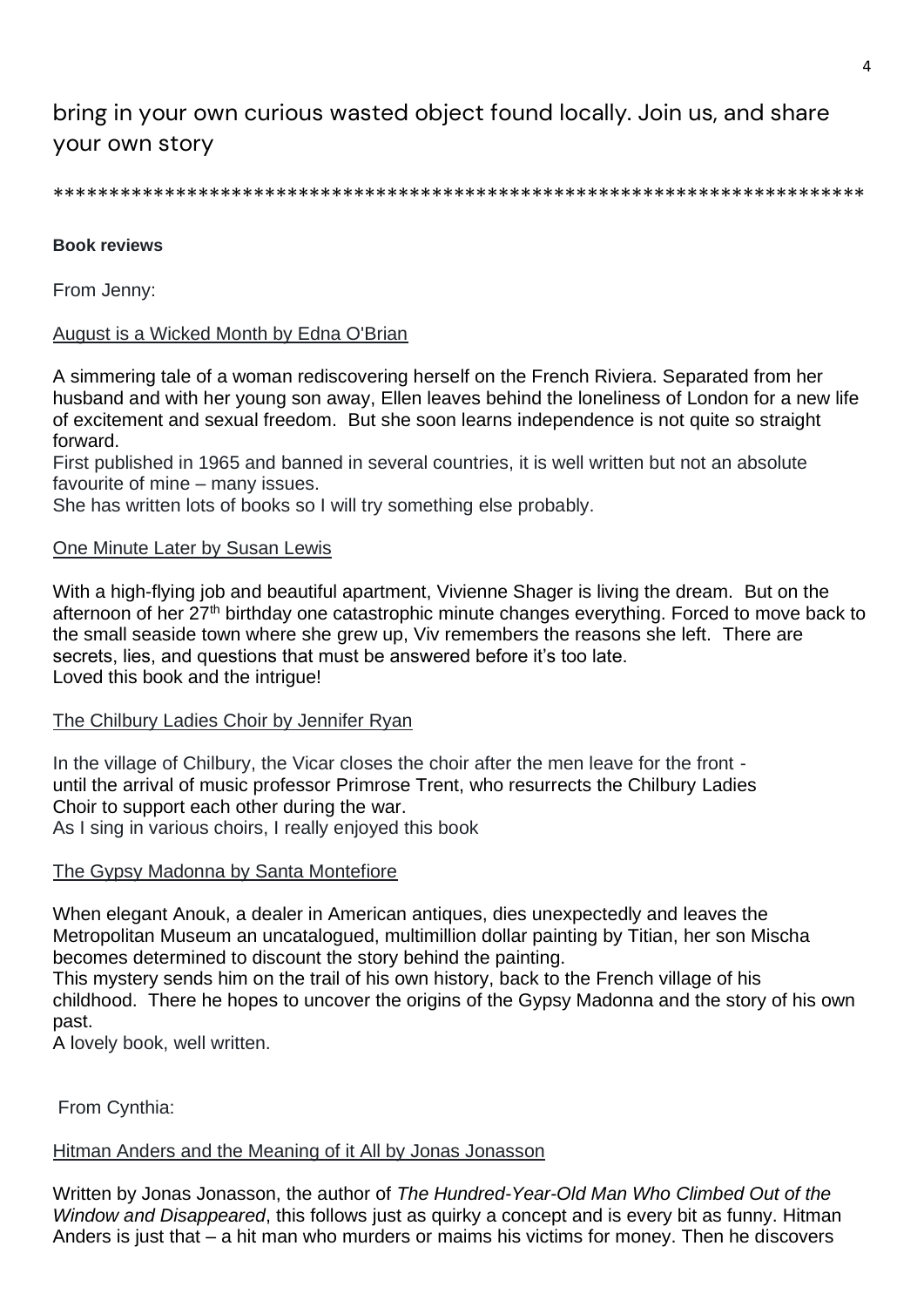# bring in your own curious wasted object found locally. Join us, and share your own story

\*\*\*\*\*\*\*\*\*\*\*\*\*\*\*\*\*\*\*\*\*\*\*\*\*\*\*\*\*\*\*\*\*\*\*\*\*\*\*\*\*\*\*\*\*\*\*\*\*\*\*\*\*\*\*\*\*\*\*\*\*\*\*\*\*\*\*\*\*\*\*\*\*

#### **Book reviews**

From Jenny:

### August is a Wicked Month by Edna O'Brian

A simmering tale of a woman rediscovering herself on the French Riviera. Separated from her husband and with her young son away, Ellen leaves behind the loneliness of London for a new life of excitement and sexual freedom. But she soon learns independence is not quite so straight forward.

First published in 1965 and banned in several countries, it is well written but not an absolute favourite of mine – many issues.

She has written lots of books so I will try something else probably.

#### One Minute Later by Susan Lewis

With a high-flying job and beautiful apartment, Vivienne Shager is living the dream. But on the afternoon of her 27<sup>th</sup> birthday one catastrophic minute changes everything. Forced to move back to the small seaside town where she grew up, Viv remembers the reasons she left. There are secrets, lies, and questions that must be answered before it's too late. Loved this book and the intrigue!

#### The Chilbury Ladies Choir by Jennifer Ryan

In the village of Chilbury, the Vicar closes the choir after the men leave for the front until the arrival of music professor Primrose Trent, who resurrects the Chilbury Ladies Choir to support each other during the war. As I sing in various choirs, I really enjoyed this book

#### The Gypsy Madonna by Santa Montefiore

When elegant Anouk, a dealer in American antiques, dies unexpectedly and leaves the Metropolitan Museum an uncatalogued, multimillion dollar painting by Titian, her son Mischa becomes determined to discount the story behind the painting.

This mystery sends him on the trail of his own history, back to the French village of his childhood. There he hopes to uncover the origins of the Gypsy Madonna and the story of his own past.

A lovely book, well written.

From Cynthia:

### Hitman Anders and the Meaning of it All by Jonas Jonasson

Written by Jonas Jonasson, the author of *The Hundred-Year-Old Man Who Climbed Out of the Window and Disappeared*, this follows just as quirky a concept and is every bit as funny. Hitman Anders is just that – a hit man who murders or maims his victims for money. Then he discovers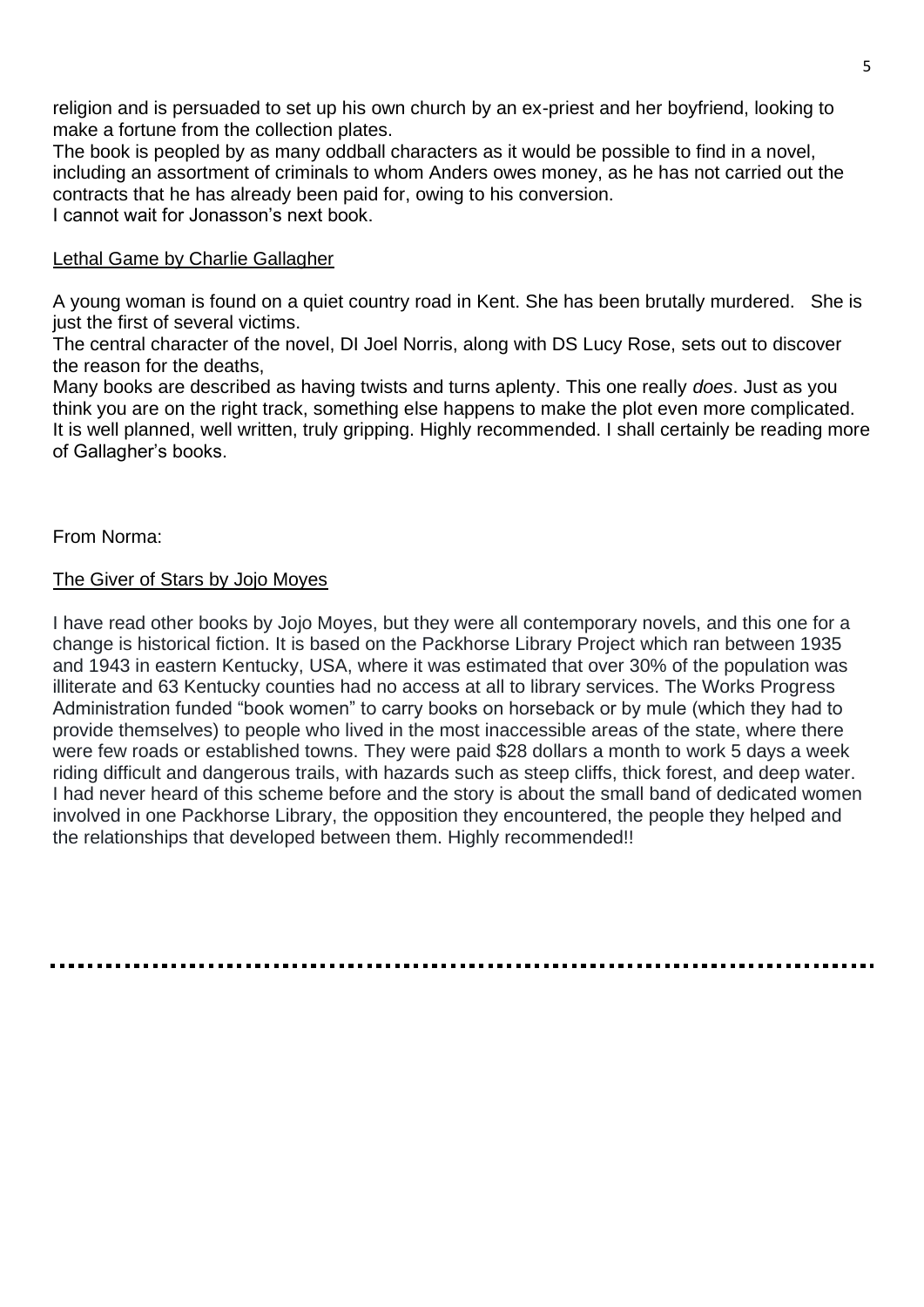religion and is persuaded to set up his own church by an ex-priest and her boyfriend, looking to make a fortune from the collection plates.

The book is peopled by as many oddball characters as it would be possible to find in a novel, including an assortment of criminals to whom Anders owes money, as he has not carried out the contracts that he has already been paid for, owing to his conversion. I cannot wait for Jonasson's next book.

### Lethal Game by Charlie Gallagher

A young woman is found on a quiet country road in Kent. She has been brutally murdered. She is just the first of several victims.

The central character of the novel, DI Joel Norris, along with DS Lucy Rose, sets out to discover the reason for the deaths,

Many books are described as having twists and turns aplenty. This one really *does*. Just as you think you are on the right track, something else happens to make the plot even more complicated. It is well planned, well written, truly gripping. Highly recommended. I shall certainly be reading more of Gallagher's books.

# From Norma:

# The Giver of Stars by Jojo Moyes

I have read other books by Jojo Moyes, but they were all contemporary novels, and this one for a change is historical fiction. It is based on the Packhorse Library Project which ran between 1935 and 1943 in eastern Kentucky, USA, where it was estimated that over 30% of the population was illiterate and 63 Kentucky counties had no access at all to library services. The Works Progress Administration funded "book women" to carry books on horseback or by mule (which they had to provide themselves) to people who lived in the most inaccessible areas of the state, where there were few roads or established towns. They were paid \$28 dollars a month to work 5 days a week riding difficult and dangerous trails, with hazards such as steep cliffs, thick forest, and deep water. I had never heard of this scheme before and the story is about the small band of dedicated women involved in one Packhorse Library, the opposition they encountered, the people they helped and the relationships that developed between them. Highly recommended!!